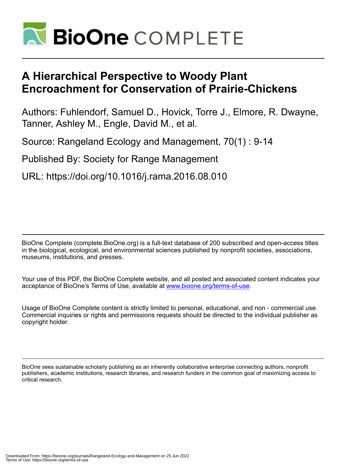

## **A Hierarchical Perspective to Woody Plant Encroachment for Conservation of Prairie-Chickens**

Authors: Fuhlendorf, Samuel D., Hovick, Torre J., Elmore, R. Dwayne, Tanner, Ashley M., Engle, David M., et al.

Source: Rangeland Ecology and Management, 70(1) : 9-14

Published By: Society for Range Management

URL: https://doi.org/10.1016/j.rama.2016.08.010

BioOne Complete (complete.BioOne.org) is a full-text database of 200 subscribed and open-access titles in the biological, ecological, and environmental sciences published by nonprofit societies, associations, museums, institutions, and presses.

Your use of this PDF, the BioOne Complete website, and all posted and associated content indicates your acceptance of BioOne's Terms of Use, available at www.bioone.org/terms-of-use.

Usage of BioOne Complete content is strictly limited to personal, educational, and non - commercial use. Commercial inquiries or rights and permissions requests should be directed to the individual publisher as copyright holder.

BioOne sees sustainable scholarly publishing as an inherently collaborative enterprise connecting authors, nonprofit publishers, academic institutions, research libraries, and research funders in the common goal of maximizing access to critical research.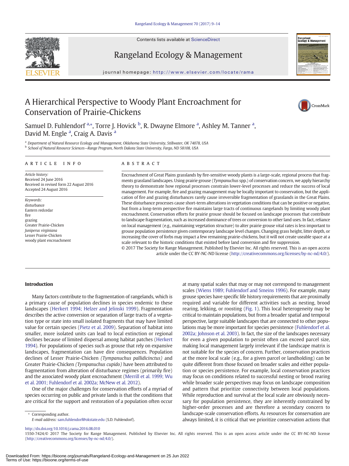

# --------<br>Ecology & Management

## Rangeland Ecology & Management

journal homepage: http://www.elsevier.com/locate/rama

## A Hierarchical Perspective to Woody Plant Encroachment for Conservation of Prairie-Chickens



Samuel D. Fuhlendorf <sup>a,\*</sup>, Torre J. Hovick <sup>b</sup>, R. Dwayne Elmore <sup>a</sup>, Ashley M. Tanner <sup>a</sup>, David M. Engle <sup>a</sup>, Craig A. Davis <sup>a</sup>

a Department of Natural Resource Ecology and Management, Oklahoma State University, Stillwater, OK 74078, USA <sup>b</sup> School of Natural Resource Sciences—Range Program, North Dakota State University, Fargo, ND 58108, USA

#### article info abstract

Article history: Received 24 June 2016 Received in revised form 22 August 2016 Accepted 24 August 2016

Keywords: disturbance Eastern redcedar fire grazing Greater Prairie-Chicken Juniperus virginiana Lesser Prairie-Chicken woody plant encroachment

Encroachment of Great Plains grasslands by fire-sensitive woody plants is a large-scale, regional process that fragments grassland landscapes. Using prairie grouse (Tympanuchus spp.) of conservation concern, we apply hierarchy theory to demonstrate how regional processes constrain lower-level processes and reduce the success of local management. For example, fire and grazing management may be locally important to conservation, but the application of fire and grazing disturbances rarely cause irreversible fragmentation of grasslands in the Great Plains. These disturbance processes cause short-term alterations in vegetation conditions that can be positive or negative, but from a long-term perspective fire maintains large tracts of continuous rangelands by limiting woody plant encroachment. Conservation efforts for prairie grouse should be focused on landscape processes that contribute to landscape fragmentation, such as increased dominance of trees or conversion to other land uses. In fact, reliance on local management (e.g., maintaining vegetation structure) to alter prairie grouse vital rates is less important to grouse population persistence given contemporary landscape level changes. Changing grass height, litter depth, or increasing the cover of forbs may impact a few remaining prairie-chickens, but it will not create useable space at a scale relevant to the historic conditions that existed before land conversion and fire suppression.

© 2017 The Society for Range Management. Published by Elsevier Inc. All rights reserved. This is an open access article under the CC BY-NC-ND license (http://creativecommons.org/licenses/by-nc-nd/4.0/).

### Introduction

Many factors contribute to the fragmentation of rangelands, which is a primary cause of population declines in species endemic to these landscapes [\(Herkert 1994; Helzer and Jelinski 1999](#page-6-0)). Fragmentation describes the active conversion or separation of large tracts of a vegetation type or state into small isolated fragments that may have limited value for certain species ([Pietz et al. 2009\)](#page-6-0). Separation of habitat into smaller, more isolated units can lead to local extinction or regional declines because of limited dispersal among habitat patches ([Herkert](#page-6-0) [1994](#page-6-0)). For populations of species such as grouse that rely on expansive landscapes, fragmentation can have dire consequences. Population declines of Lesser Prairie-Chicken (Tympanuchus pallidicinctus) and Greater Prairie-Chicken (Tympanuchus cupido) have been attributed to fragmentation from alteration of disturbance regimes (primarily fire) and the associated woody plant encroachment ([Merrill et al. 1999; Wu](#page-6-0) [et al. 2001; Fuhlendorf et al. 2002a; McNew et al. 2012\)](#page-6-0).

One of the major challenges for conservation efforts of a myriad of species occurring on public and private lands is that the conditions that are critical for the support and restoration of a population often occur

at many spatial scales that may or may not correspond to management scales ([Wiens 1989; Fuhlendorf and Smeins 1996](#page-6-0)). For example, many grouse species have specific life history requirements that are proximally required and variable for different activities such as nesting, brood rearing, lekking, or roosting ([Fig. 1](#page-2-0)). This local heterogeneity may be critical to maintain populations, but from a broader spatial and temporal perspective, large suitable landscapes that are connected to other populations may be more important for species persistence ([Fuhlendorf et al.](#page-6-0) [2002a; Johnson et al. 2003](#page-6-0)). In fact, the size of the landscapes necessary for even a given population to persist often can exceed parcel size, making local management largely irrelevant if the landscape matrix is not suitable for the species of concern. Further, conservation practices at the more local scale (e.g., for a given parcel or landholding) can be quite different from those focused on broader scales and either population or species persistence. For example, local conservation practices may focus on conditions related to successful nesting or brood rearing while broader scale perspectives may focus on landscape composition and pattern that prioritize connectivity between local populations. While reproduction and survival at the local scale are obviously necessary for population persistence, they are inherently constrained by higher-order processes and are therefore a secondary concern to landscape-scale conservation efforts. As resources for conservation are always limited, it is critical that we prioritize conservation actions that

E-mail address: [sam.fuhlendorf@okstate.edu](mailto:sam.fuhlendorf@okstate.edu) (S.D. Fuhlendorf).

<http://dx.doi.org/10.1016/j.rama.2016.08.010>

Corresponding author.

<sup>1550-7424/© 2017</sup> The Society for Range Management. Published by Elsevier Inc. All rights reserved. This is an open access article under the CC BY-NC-ND license (http://creativecommons.org/licenses/by-nc-nd/4.0/).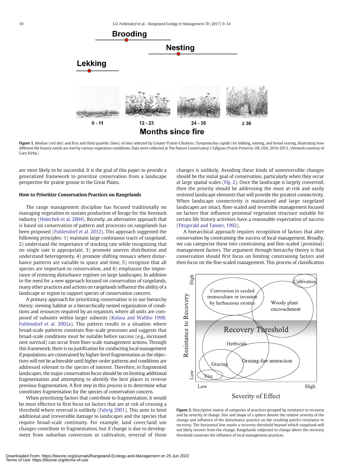<span id="page-2-0"></span>

Figure 1. Median (red dot) and first and third quartile (lines) of sites selected by Greater Prairie-Chickens (Tympanuchus cupido) for lekking, nesting, and brood rearing, illustrating how different life history needs are met by various vegetation conditions. Data were collected at The Nature Conservancy's Tallgrass Prairie Preserve, OK, USA, 2010-2013. (Artwork courtesy of Gary Kirby.)

are most likely to be successful. It is the goal of this paper to provide a generalized framework to prioritize conservation from a landscape perspective for prairie grouse in the Great Plains.

#### How to Prioritize Conservation Practices on Rangelands

The range management discipline has focused traditionally on managing vegetation to sustain production of forage for the livestock industry [\(Holechek et al. 2004](#page-6-0)). Recently, an alternative approach that is based on conservation of pattern and processes on rangelands has been proposed [\(Fuhlendorf et al. 2012](#page-6-0)). This approach suggested the following principles: 1) maintain large continuous tracts of rangeland, 2) understand the importance of stocking rate while recognizing that no single rate is appropriate, 3) promote uneven distribution and understand heterogeneity, 4) promote shifting mosaics where disturbance patterns are variable in space and time, 5) recognize that all species are important to conservation, and 6) emphasize the importance of restoring disturbance regimes on large landscapes. In addition to the need for a new approach focused on conservation of rangelands, many other practices and actions on rangelands influence the ability of a landscape or region to support species of conservation concern.

A primary approach for prioritizing conservation is to use hierarchy theory, viewing habitat as a hierarchically nested organization of conditions and resources required by an organism, where all units are composed of subunits within larger subunits ([Kolasa and Waltho 1998;](#page-6-0) [Fuhlendorf et al. 2002a\)](#page-6-0). This pattern results in a situation where broad-scale patterns constrain fine-scale processes and suggests that broad-scale conditions must be suitable before success (e.g., increased nest survival) can occur from finer-scale management actions. Through this framework, there is no justification for conducting local management if populations are constrained by higher-level fragmentation as the objectives will not be achievable until higher-order patterns and conditions are addressed relevant to the species of interest. Therefore, in fragmented landscapes, the major conservation focus should be on limiting additional fragmentation and attempting to identify the best places to reverse previous fragmentation. A first step in this process is to determine what constitutes fragmentation for the species of conservation concern.

When prioritizing factors that contribute to fragmentation, it would be most effective to first focus on factors that are at risk of crossing a threshold where reversal is unlikely [\(Fahrig 2001](#page-5-0)). This aims to limit additional and irreversible damage to landscapes and the species that require broad-scale continuity. For example, land cover/land use changes contribute to fragmentation, but if change is due to development from suburban conversion or cultivation, reversal of those changes is unlikely. Avoiding these kinds of nonreversible changes should be the initial goal of conservation, particularly when they occur at large spatial scales (Fig. 2). Once the landscape is largely converted, then the priority should be addressing the most at-risk and easily restored landscape elements that will provide the greatest connectivity. When landscape connectivity is maintained and large rangeland landscapes are intact, finer-scaled and reversible management focused on factors that influence proximal vegetation structure suitable for certain life history activities have a reasonable expectation of success ([Fitzgerald and Tanner, 1992\)](#page-5-0).

A hierarchical approach requires recognition of factors that alter conservation by constraining the success of local management. Broadly, we can categorize these into constraining and fine-scaled (proximal) management factors. The argument through hierarchy theory is that conservation should first focus on limiting constraining factors and then focus on the fine-scaled management. This process of classification



Figure 2. Descriptive matrix of categories of practices grouped by resistance to recovery and by severity of change. Size and shape of a sphere denote the relative severity of the change and influence of the disturbance practice on the resulting patch's resistance to recovery. The horizontal line marks a recovery threshold beyond which rangeland will not likely recover from the change. Rangelands subjected to change above the recovery threshold constrain the influence of local management practices.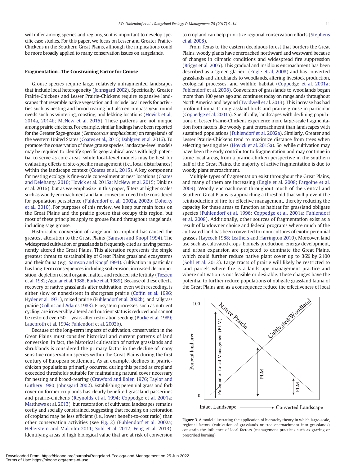<span id="page-3-0"></span>will differ among species and regions, so it is important to develop specific case studies. For this paper, we focus on Lesser and Greater Prairie-Chickens in the Southern Great Plains, although the implications could be more broadly applied to many conservation issues on rangelands.

#### Fragmentation—The Constraining Factor for Grouse

Grouse species require large, relatively unfragmented landscapes that include local heterogeneity ([Johnsgard 2002](#page-6-0)). Specifically, Greater Prairie-Chickens and Lesser Prairie-Chickens require expansive landscapes that resemble native vegetation and include local needs for activities such as nesting and brood rearing but also encompass year-round needs such as wintering, roosting, and lekking locations ([Hovick et al.,](#page-6-0) [2014a, 2014b; McNew et al. 2015\)](#page-6-0). These patterns are not unique among prairie chickens. For example, similar findings have been reported for the Greater Sage-grouse (Centrocercus urophasianus) on rangelands of the western United States ([Coates et al., 2015; Dahlgren et al. 2016\)](#page-5-0). To promote the conservation of these grouse species, landscape-level models may be required to identify specific geographical areas with high potential to serve as core areas, while local-level models may be best for evaluating effects of site-specific management (i.e., local disturbances) within the landscape context [\(Coates et al., 2015\)](#page-5-0). A key component for nesting ecology is fine-scale concealment at nest locations [\(Coates](#page-5-0) [and Delehanty, 2010; Hovick et al. 2015a; McNew et al. 2015](#page-5-0); Dinkins et al. 2016), but as we emphasize in this paper, filters at higher scales such as woody encroachment and land conversion need to be considered for population persistence ([Fuhlendorf et al., 2002a, 2002b; Doherty](#page-6-0) [et al., 2010\)](#page-6-0). For purposes of this review, we keep our main focus on the Great Plains and the prairie grouse that occupy this region, but most of these principles apply to grouse found throughout rangelands, including sage grouse.

Historically, conversion of rangeland to cropland has caused the greatest alteration to the Great Plains [\(Samson and Knopf 1994\)](#page-6-0). The widespread cultivation of grasslands is frequently cited as having permanently altered the Great Plains. This alteration represents the single greatest threat to sustainability of Great Plains grassland ecosystems and their fauna (e.g., [Samson and Knopf 1994\)](#page-6-0). Cultivation in particular has long-term consequences including soil erosion, increased decomposition, depletion of soil organic matter, and reduced site fertility [\(Tieszen](#page-6-0) [et al. 1982; Aguilar et al. 1988; Burke et al. 1989\)](#page-6-0). Because of these effects, recovery of native grasslands after cultivation, even with reseeding, is either slow or nonexistent in shortgrass prairie (Coffi[n et al. 1996;](#page-5-0) [Hyder et al. 1971](#page-5-0)), mixed prairie ([Fuhlendorf et al. 2002b](#page-6-0)), and tallgrass prairie ([Collins and Adams 1983\)](#page-5-0). Ecosystem processes, such as nutrient cycling, are irreversibly altered and nutrient status is reduced and cannot be restored even  $50+$  years after restoration seeding [\(Burke et al. 1989;](#page-5-0) [Lauenroth et al. 1994; Fuhlendorf et al. 2002b\)](#page-5-0).

Because of the long-term impacts of cultivation, conservation in the Great Plains must consider historical and current patterns of land conversion. In fact, the historical cultivation of native grasslands and shrublands is considered the primary factor in the decline of many sensitive conservation species within the Great Plains during the first century of European settlement. As an example, declines in prairiechicken populations primarily occurred during this period as cropland exceeded thresholds suitable for maintaining natural cover necessary for nesting and brood-rearing ([Crawford and Bolen 1976; Taylor and](#page-5-0) [Guthery 1980; Johnsgard 2002](#page-5-0)). Establishing perennial grass and forb cover on former croplands has clearly benefited grassland passerines and prairie-chickens [\(Reynolds et al. 1994; Coppedge et al. 2001a;](#page-6-0) [Matthews et al. 2013\)](#page-6-0), but restoration of cultivated landscapes remains costly and socially constrained, suggesting that focusing on restoration of cropland may be less efficient (i.e., lower benefit-to-cost ratio) than other conservation activities (see [Fig. 2](#page-2-0)) ([Fuhlendorf et al. 2002a;](#page-6-0) [Hellerstein and Malcolm 2011; Sohl et al. 2012; Feng et al. 2013](#page-6-0)). Identifying areas of high biological value that are at risk of conversion

to cropland can help prioritize regional conservation efforts ([Stephens](#page-6-0) [et al. 2008](#page-6-0)).

From Texas to the eastern deciduous forest that borders the Great Plains, woody plants have encroached northward and westward because of changes in climatic conditions and widespread fire suppression [\(Briggs et al. 2005\)](#page-5-0). This gradual and insidious encroachment has been described as a "green glacier" ([Engle et al. 2008\)](#page-5-0) and has converted grasslands and shrublands to woodlands, altering livestock production, ecological processes, and wildlife habitat [\(Coppedge et al. 2001a;](#page-5-0) [Fuhlendorf et al. 2008\)](#page-5-0). Conversion of grasslands to woodlands began more than 100 years ago and continues today on rangelands throughout North America and beyond [\(Twidwell et al. 2013\)](#page-6-0). This increase has had profound impacts on grassland birds and prairie grouse in particular [\(Coppedge et al. 2001a](#page-5-0)). Specifically, landscapes with declining populations of Lesser Prairie-Chickens experience more large-scale fragmentation from factors like woody plant encroachment than landscapes with sustained populations [\(Fuhlendorf et al. 2002a](#page-6-0)). Similarly, Greater and Lesser Prairie-Chickens tend to maximize distance from trees when selecting nesting sites ([Hovick et al. 2015a](#page-6-0)). So, while cultivation may have been the early contributor to fragmentation and may continue in some local areas, from a prairie-chicken perspective in the southern half of the Great Plains, the majority of active fragmentation is due to woody plant encroachment.

Multiple types of fragmentation exist throughout the Great Plains, and many of them are increasing ([Engle et al. 2008; Fargoine et al.](#page-5-0) [2009\)](#page-5-0). Woody encroachment throughout much of the Central and Southern Great Plains is approaching a threshold that will prevent the reintroduction of fire for effective management, thereby reducing the capacity for these areas to function as habitat for grassland obligate species ([Fuhlendorf et al. 1996; Coppedge et al. 2001a; Fuhlendorf](#page-6-0) [et al. 2008](#page-6-0)). Additionally, other sources of fragmentation exist as a result of landowner choice and federal programs where much of the cultivated land has been converted to monocultures of exotic perennial grasses ([Laycock 1988; Leathers and Harrington 2010](#page-6-0)). Moreover, land use such as cultivated crops, biofuels production, energy development, and urban expansion are projected to dominate the Great Plains, which could further reduce native plant cover up to 36% by 2100 [\(Sohl et al. 2012\)](#page-6-0). Large tracts of prairie will likely be restricted to land parcels where fire is a landscape management practice and where cultivation is not feasible or desirable. These changes have the potential to further reduce populations of obligate grassland fauna of the Great Plains and as a consequence reduce the effectiveness of local



Figure 3. A model illustrating the application of hierarchy theory in which large-scale, regional factors (cultivation of grasslands or tree encroachment into grasslands) constrain the influence of local factors (management practices such as grazing or prescribed burning).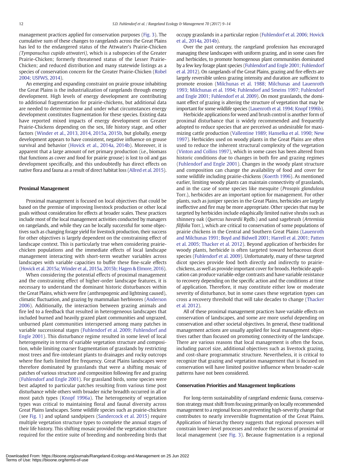management practices applied for conservation purposes ([Fig. 3\)](#page-3-0). The cumulative sum of these changes to rangelands across the Great Plains has led to the endangered status of the Attwater's Prairie-Chicken (Tympanuchus cupido attwateri), which is a subspecies of the Greater Prairie-Chicken; formerly threatened status of the Lesser Prairie-Chicken; and reduced distribution and many statewide listings as a species of conservation concern for the Greater Prairie-Chicken [\(Robel](#page-6-0) [2004; USFWS, 2014\)](#page-6-0).

An emerging and expanding constraint on prairie grouse inhabiting the Great Plains is the industrialization of rangelands through energy development. High levels of energy development are contributing to additional fragmentation for prairie-chickens, but additional data are needed to determine how and under what circumstances energy development constitutes fragmentation for these species. Existing data have reported mixed impacts of energy development on Greater Prairie-Chickens depending on the sex, life history stage, and other factors ([Winder et al., 2013, 2014, 2015a, 2015b](#page-6-0), but globally, energy development appears to have consistent, negative influence on grouse survival and behavior [\(Hovick et al., 2014a, 2014b\)](#page-6-0). Moreover, it is apparent that a large amount of net primary production (i.e., biomass that functions as cover and food for prairie grouse) is lost to oil and gas development specifically, and this undoubtedly has direct effects on native flora and fauna as a result of direct habitat loss [\(Allred et al. 2015](#page-5-0)).

#### Proximal Management

Proximal management is focused on local objectives that could be based on the premise of improving livestock production or other local goals without consideration for effects at broader scales. These practices include most of the local management activities conducted by managers on rangelands, and while they can be locally successful for some objectives such as changing forage yield for livestock production, their success for other objectives is largely dependent on the constraining effect of landscape context. This is particularly true when considering prairiechicken populations and the immediate effects of local landscape management interacting with short-term weather variables across landscapes with variable capacities to buffer these fine-scale effects (Hovick et al. 2015a; Winder et al., [2015a, 2015b; Hagen & Elmore, 2016](#page-6-0)).

When considering the potential effects of proximal management and the constraining effect of higher-order landscape features, it is necessary to understand the dominant historic disturbances within the Great Plains, which were fire (anthropogenic and lightning caused), climatic fluctuation, and grazing by mammalian herbivores [\(Anderson](#page-5-0) [2006\)](#page-5-0). Additionally, the interaction between grazing animals and fire led to a feedback that resulted in heterogeneous landscapes that included burned and heavily grazed plant communities and ungrazed, unburned plant communities interspersed among many patches in variable successional stages ([Fuhlendorf et al. 2009; Fuhlendorf and](#page-6-0) [Engle 2001\)](#page-6-0). This disturbance regime resulted in some level of local heterogeneity in terms of variable vegetation structure and composition, while limiting coarser fragmentation of grasslands by restricting most trees and fire-intolerant plants to drainages and rocky outcrops where fine fuels limited fire frequency. Great Plains landscapes were therefore dominated by grasslands that were a shifting mosaic of patches of various structure and composition following fire and grazing ([Fuhlendorf and Engle 2001](#page-5-0)). For grassland birds, some species were best adapted to particular patches resulting from various time post disturbance while others with broader niche breadth occurred in all or most patch types [\(Knopf 1996a](#page-6-0)). The heterogeneity of vegetation types was critical to maintaining floral and faunal diversity across Great Plains landscapes. Some wildlife species such as prairie-chickens (see [Fig. 1](#page-2-0)) and upland sandpipers [\(Sandercock et al. 2015\)](#page-6-0) require multiple vegetation structure types to complete the annual stages of their life history. This shifting mosaic provided the vegetation structure required for the entire suite of breeding and nonbreeding birds that occupy grasslands in a particular region [\(Fuhlendorf et al. 2006; Hovick](#page-6-0) [et al., 2014a, 2014b](#page-6-0)).

Over the past century, the rangeland profession has encouraged managing these landscapes with uniform grazing, and in some cases fire and herbicides, to promote homogenous plant communities dominated by a few key forage plant species [\(Fuhlendorf and Engle 2001; Fuhlendorf](#page-5-0) [et al. 2012\)](#page-5-0). On rangelands of the Great Plains, grazing and fire effects are largely reversible unless grazing intensity and duration are sufficient to promote erosion ([Milchunas et al. 1988; Milchunas and Lauenroth](#page-6-0) [1993; Milchunas et al. 1994; Fuhlendorf and Smeins 1997; Fuhlendorf](#page-6-0) [and Engle 2001; Fuhlendorf et al. 2009\)](#page-6-0). On most grasslands, the dominant effect of grazing is altering the structure of vegetation that may be important for some wildlife species [\(Lauenroth et al. 1994; Knopf 1996b](#page-6-0)).

Herbicide applications for weed and brush control is another form of proximal disturbance that is widely recommended and frequently adopted to reduce species that are perceived as undesirable for maximizing cattle production [\(Vallentine 1989; Hanselka et al. 1990; New](#page-6-0) [1997\)](#page-6-0). Herbicides used on woody plants in the Great Plains are often used to reduce the inherent structural complexity of the vegetation ([Vinton and Collins 1997\)](#page-6-0), which in some cases has been altered from historic conditions due to changes in both fire and grazing regimes ([Fuhlendorf and Engle 2001](#page-5-0)). Changes in the woody plant structure and composition can change the availability of food and cover for some wildlife including prairie-chickens ([Koerth 1996](#page-6-0)). As mentioned earlier, limiting woody plants can maintain connectivity of grasslands, and in the case of some species like mesquite (Prosopis glandulosa Torr.), herbicides are an important option for management. For other plants, such as juniper species in the Great Plains, herbicides are largely ineffective and fire may be more appropriate. Other species that may be targeted by herbicides include edaphically limited native shrubs such as shinnery oak (Quercus havardii Rydb.) and sand sagebrush (Artemisia filifolia Torr.), which are critical to conservation of some populations of prairie chickens in the Central and Southern Great Plains [\(Lauenroth](#page-6-0) [and Milchunas 1991; Boyd and Bidwell 2001; Harrell et al. 2001; Patten](#page-6-0) [et al. 2005; Thacker et al. 2012](#page-6-0)). Beyond application of herbicides for woody plants, herbicide is often targeted toward herbaceous dicot species [\(Fuhlendorf et al. 2009\)](#page-6-0). Unfortunately, many of these targeted dicot species provide food both directly and indirectly to prairiechickens, as well as provide important cover for broods. Herbicide application can produce variable-edge contrasts and have variable resistance to recovery depending on the specific action and the conditions at time of application. Therefore, it may constitute either low or moderate severity of disturbance, but in some cases these vegetation types can cross a recovery threshold that will take decades to change ([Thacker](#page-6-0) [et al. 2012](#page-6-0)).

All of these proximal management practices have variable effects on conservation of landscapes, and some are more useful depending on conservation and other societal objectives. In general, these traditional management actions are usually applied for local management objectives rather than focused on promoting connectivity of the landscape. There are various reasons that local management is often the focus, including parcel size, additional objectives such as livestock grazing, and cost-share programmatic structure. Nevertheless, it is critical to recognize that grazing and vegetation management that is focused on conservation will have limited positive influence when broader-scale patterns have not been considered.

#### Conservation Priorities and Management Implications

For long-term sustainability of rangeland endemic fauna, conservation strategy must shift from focusing primarily on locally recommended management to a regional focus on preventing high-severity change that contributes to nearly irreversible fragmentation of the Great Plains. Application of hierarchy theory suggests that regional processes will constrain lower-level processes and reduce the success of proximal or local management (see [Fig. 3](#page-3-0)). Because fragmentation is a regional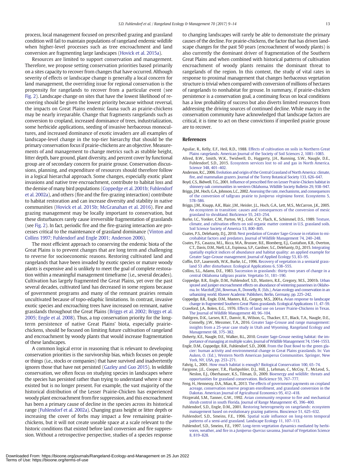<span id="page-5-0"></span>process, local management focused on prescribed grazing and grassland condition will fail to maintain populations of rangeland endemic wildlife when higher-level processes such as tree encroachment and land conversion are fragmenting large landscapes [\(Hovick et al. 2015a\)](#page-6-0).

Resources are limited to support conservation and management. Therefore, we propose setting conservation priorities based primarily on a sites capacity to recover from changes that have occurred. Although severity of effects or landscape change is generally a local concern for land management, the overriding issue for regional conservation is the propensity for rangelands to recover from a particular event (see [Fig. 2](#page-2-0)). Landscape change on sites that have the lowest likelihood of recovering should be given the lowest priority because without reversal, the impacts on Great Plains endemic fauna such as prairie-chickens may be nearly irreparable. Change that fragments rangelands such as conversion to cropland, increased dominance of trees, industrialization, some herbicide applications, seeding of invasive herbaceous monocultures, and increased dominance of exotic invaders are all examples of landscape-level change in the top-tier hierarchy that should be the primary conservation focus if prairie-chickens are an objective. Measurements of and management to change metrics such as stubble height, litter depth, bare ground, plant diversity, and percent cover by functional group are of secondary concern for prairie grouse. Conservation discussions, planning, and expenditure of resources should therefore follow in a logical hierarchal approach. Some changes, especially exotic plant invasions and native tree encroachment, contribute to habitat loss and the demise of many bird populations (Coppedge et al. 2001b; Fuhlendorf et al. 2002a), and others (fire and the fire-grazing interaction) contribute to habitat restoration and can increase diversity and stability in native communities ([Hovick et al. 2015b; McGranahan et al. 2016\)](#page-6-0). Fire and grazing management may be locally important to conservation, but these disturbances rarely cause irreversible fragmentation of grasslands (see [Fig. 2](#page-2-0)). In fact, periodic fire and the fire-grazing interaction are processes critical to the maintenance of grassland dominance [\(Vinton and](#page-6-0) [Collins 1997; Fuhlendorf and](#page-6-0) Engle 2001; Anderson 2006).

The most efficient approach to conserving the endemic biota of the Great Plains is to prevent changes that are long term and challenging to reverse for socioeconomic reasons. Restoring cultivated land and rangelands that have been invaded by exotic species or mature woody plants is expensive and is unlikely to meet the goal of complete restoration within a meaningful management timeframe (i.e., several decades). Cultivation has largely fragmented the Great Plains, yet over the past several decades, cultivated land has decreased in some regions because of government programs and many of the remnant prairies remain uncultivated because of topo-edaphic limitations. In contrast, invasive exotic species and encroaching trees have increased on remnant, native grasslands throughout the Great Plains (Briggs et al. 2002; Briggs et al. 2005; Engle et al. 2008). Thus, a top conservation priority for the longterm persistence of native Great Plains' biota, especially prairiechickens, should be focused on limiting future cultivation of rangeland and encroachment by woody plants that would increase fragmentation of these landscapes.

A common logical error in reasoning that is relevant to developing conservation priorities is the survivorship bias, which focuses on people or things (i.e., stocks or companies) that have survived and inadvertently ignores those that have not persisted [\(Gazley and Guo 2015](#page-6-0)). In wildlife conservation, we often focus on studying species in landscapes where the species has persisted rather than trying to understand where it once existed but is no longer present. For example, the vast majority of the historical distribution of the Lesser Prairie-Chicken has experienced woody plant encroachment from fire suppression, and this encroachment has been a primary cause of decline in the species across its historical range ([Fuhlendorf et al. 2002a](#page-6-0)). Changing grass height or litter depth or increasing the cover of forbs may impact a few remaining prairiechickens, but it will not create useable space at a scale relevant to the historic conditions that existed before land conversion and fire suppression. Without a retrospective perspective, studies of a species response to changing landscapes will rarely be able to demonstrate the primary causes of the decline. For prairie-chickens, the factor that has driven landscape changes for the past 50 years (encroachment of woody plants) is also currently the dominant driver of fragmentation of the Southern Great Plains and when combined with historical patterns of cultivation encroachment of woody plants remains the dominant threat to rangelands of the region. In this context, the study of vital rates in response to proximal management that changes herbaceous vegetation structure is trivial when compared with conversion of millions of hectares of rangelands to nonhabitat for grouse. In summary, if prairie-chicken persistence is a conservation goal, a continuing focus on local conditions has a low probability of success but also diverts limited resources from addressing the driving sources of continued decline. While many in the conservation community have acknowledged that landscape factors are critical, it is time to act on these convictions if imperiled prairie grouse are to recover.

#### References

- Aguilar, R., Kelly, E.F., Heil, R.D., 1988. [Effects of cultivation on soils in Northern Great](http://refhub.elsevier.com/S1550-7424(16)30078-1/rf0005) [Plains rangelands. American Journal of the Society of Soil Sciences 2, 1081](http://refhub.elsevier.com/S1550-7424(16)30078-1/rf0005)–1085.
- Allred, B.W., Smith, W.K., Twidwell, D., Haggerty, J.H., Running, S.W., Naugle, D.E., Fuhlendorf, S.D., 2015. [Ecosystem services lost to oil and gas in North America.](http://refhub.elsevier.com/S1550-7424(16)30078-1/rf0010) [Science 348, 401](http://refhub.elsevier.com/S1550-7424(16)30078-1/rf0010)–402.
- Anderson, R.C., 2006. [Evolution and origin of the Central Grassland of North America: climate,](http://refhub.elsevier.com/S1550-7424(16)30078-1/rf0015) fi[re, and mammalian grazers. Journal of the Torrey Botanical Society 133, 626](http://refhub.elsevier.com/S1550-7424(16)30078-1/rf0015)–647.
- Boyd, C.S., Bidwell, T.G., 2001. Influence of prescribed fi[re on Lesser Prairie-Chicken habitat in](http://refhub.elsevier.com/S1550-7424(16)30078-1/rf0020) [shinnery oak communities in western Oklahoma. Wildlife Society Bulletin 29, 938](http://refhub.elsevier.com/S1550-7424(16)30078-1/rf0020)–947.
- Briggs, J.M., Hoch, G.A., Johnson, L.C., 2002. [Assessing the rate, mechanisms, and consequences](http://refhub.elsevier.com/S1550-7424(16)30078-1/rf0025) [of the conversion of tallgrass prairie to](http://refhub.elsevier.com/S1550-7424(16)30078-1/rf0025) Juniperus virginiana forest. Ecosystems 5, 578–[586.](http://refhub.elsevier.com/S1550-7424(16)30078-1/rf0025)
- Briggs, J.M., Knapp, A.K., Blair, J.M., Heisler, J.L., Hoch, G.A., Lett, M.S., McCarron, J.K., 2005. [An ecosystem in transition: causes and consequences of the conversion of mesic](http://refhub.elsevier.com/S1550-7424(16)30078-1/rf0030) [grassland to shrubland. BioScience 55, 243](http://refhub.elsevier.com/S1550-7424(16)30078-1/rf0030)–254.
- Burke, I.C., Yonker, C.M., Parton, W.J., Cole, C.V., Flach, K., Schimmel, D.S., 1989. [Texture,](http://refhub.elsevier.com/S1550-7424(16)30078-1/rf0035) [climate, and cultivation effects on soil organic matter content in U.S. grassland soils.](http://refhub.elsevier.com/S1550-7424(16)30078-1/rf0035) [Soil Science Society of America 53, 800](http://refhub.elsevier.com/S1550-7424(16)30078-1/rf0035)–805.
- Coates, P.S., Delehanty, D.J., 2010. [Nest predation of Greater Sage-Grouse in relation to mi](http://refhub.elsevier.com/S1550-7424(16)30078-1/rf0040)[crohabitat factors and predators. Journal of Wildlife Management 74, 240](http://refhub.elsevier.com/S1550-7424(16)30078-1/rf0040)–248.
- Coates, P.S., Casazza, M.L., Ricca, M.A., Brussee, B.E., Blomberg, E.J., Gustafson, K.B., Overton, C.T., Davis, D.M., Niell, L.E., Espinosa, S.P., Gardner, S.C., Delehanty, D.J., 2015. [Integrating](http://refhub.elsevier.com/S1550-7424(16)30078-1/rf0045) [spatially explicit indices of abundance and habitat quality: an applied example for](http://refhub.elsevier.com/S1550-7424(16)30078-1/rf0045) [Greater Sage-Grouse management. Journal of Applied Ecology 53, 83](http://refhub.elsevier.com/S1550-7424(16)30078-1/rf0045)–95.
- Coffin, D.P., Lauenroth, W.K., Burke, I.C., 1996. [Recovery of vegetation in a semiarid grass](http://refhub.elsevier.com/S1550-7424(16)30078-1/rf0050)[land 53 after disturbance. Ecological Applications 6, 538](http://refhub.elsevier.com/S1550-7424(16)30078-1/rf0050)–555.
- Collins, S.L., Adams, D.E., 1983. [Succession in grasslands: thirty-two years of change in a](http://refhub.elsevier.com/S1550-7424(16)30078-1/rf0055) [central Oklahoma tallgrass prairie. Vegetatio 51, 181](http://refhub.elsevier.com/S1550-7424(16)30078-1/rf0055)–190.
- Coppedge, B.R., Engle, D.M., Fuhlendorf, S.D., Masters, R.E., Gregory, M.S., 2001b. [Urban](http://refhub.elsevier.com/S1550-7424(16)30078-1/rf0060) [sprawl and juniper encroachment effects on abundance of wintering passerines in Oklaho](http://refhub.elsevier.com/S1550-7424(16)30078-1/rf0060)[ma. In: Marzluff, J.M., Bowman, R., Donnelly, R.](http://refhub.elsevier.com/S1550-7424(16)30078-1/rf0060) (Eds.), Avian ecology and conservation in an [urbanizing world. Kluwer Academic Publishers, Berlin, Germany, pp. 225](http://refhub.elsevier.com/S1550-7424(16)30078-1/rf0060)–242.
- Coppedge, B.R., Engle, D.M., Masters, R.E., Gregory, M.S., 2001a. [Avian response to landscape](http://refhub.elsevier.com/S1550-7424(16)30078-1/rf0065) [change in fragmented Southern Great Plains grasslands. Ecological Applications 11, 47](http://refhub.elsevier.com/S1550-7424(16)30078-1/rf0065)–59.
- Crawford, J.A., Bolen, E.G., 1976. [Effects of land use on Lesser Prairie-Chickens in Texas.](http://refhub.elsevier.com/S1550-7424(16)30078-1/rf0070) [The Journal of Wildlife Management 40, 96](http://refhub.elsevier.com/S1550-7424(16)30078-1/rf0070)–104.
- Dahlgren, D.K., Larsen, R.T., Danvir, R., Wilson, G., Thacker, E.T., Black, T.A., Naugle, D.E., Connelly, J.W., Messmer, T.A., 2016. [Greater Sage-Grouse and range management:](http://refhub.elsevier.com/S1550-7424(16)30078-1/rf0075) [insights from a 25-year case study in Utah and Wyoming. Rangeland Ecology and](http://refhub.elsevier.com/S1550-7424(16)30078-1/rf0075) [Management 68, 375](http://refhub.elsevier.com/S1550-7424(16)30078-1/rf0075)–382.
- Doherty, K.E., Naugle, D.E., Walker, B.L., 2010. [Greater Sage-Grouse nesting habitat: the im](http://refhub.elsevier.com/S1550-7424(16)30078-1/rf0080)portance of managing at multiple scales. Journal of Wildlife Management 74, 1544-1553.
- Engle, D.M., Coppedge, B.R., Fuhlendorf, S.D., 2008. [From the Dust Bowl to the green gla](http://refhub.elsevier.com/S1550-7424(16)30078-1/rf0085)[cier: human activity and environmental change in Great Plains grasslands. In: Van](http://refhub.elsevier.com/S1550-7424(16)30078-1/rf0085) [Auken, O. \(Ed.\), Western North American Juniperus Communities. Springer, New](http://refhub.elsevier.com/S1550-7424(16)30078-1/rf0085) [York, NY, USA, pp. 253](http://refhub.elsevier.com/S1550-7424(16)30078-1/rf0085)–271.
- Fahrig, L., 2001. [How much habitat is enough? Biological Conservation 100, 65](http://refhub.elsevier.com/S1550-7424(16)30078-1/rf0090)–74.
- Fargoine, J.E., Cooper, T.R., Flashpohler, D.J., Hill, J., Lehman, C., McCoy, T., McLeod, S. Neslon, E.J., Oberhasuer, K.S., Tilman, D., 2009. [Bioenergy and wildlife: threats and](http://refhub.elsevier.com/S1550-7424(16)30078-1/rf0095) [opportunities for grassland conservation. BioScience 59, 767](http://refhub.elsevier.com/S1550-7424(16)30078-1/rf0095)–777.
- Feng, H., Hennessy, D.A., Miao, R., 2013. [The effects of government payments on cropland](http://refhub.elsevier.com/S1550-7424(16)30078-1/rf0100) [acreage, conservation reserve program enrollment, and grassland conversion in the](http://refhub.elsevier.com/S1550-7424(16)30078-1/rf0100) [Dakotas. American Journal of Agricultural Economics 95, 412](http://refhub.elsevier.com/S1550-7424(16)30078-1/rf0100)–418.
- Fitzgerald, S.M., Tanner, G.W., 1992. [Avian community response to](http://refhub.elsevier.com/S1550-7424(16)30078-1/rf0105) fire and mechanical [shrub control in south Florida. Journal of Range Management 45, 396](http://refhub.elsevier.com/S1550-7424(16)30078-1/rf0105)–400.
- Fuhlendorf, S.D., Engle, D.M., 2001. [Restoring heterogeneity on rangelands: ecosystem](http://refhub.elsevier.com/S1550-7424(16)30078-1/rf0110) [management based on evolutionary grazing patterns. Bioscience 51, 625](http://refhub.elsevier.com/S1550-7424(16)30078-1/rf0110)–632.
- Fuhlendorf, S.D., Smeins, F.E., 1996. Spatial scale infl[uence on long-term temporal](http://refhub.elsevier.com/S1550-7424(16)30078-1/rf0115) [patterns of a semi-arid grassland. Landscape Ecology 11, 107](http://refhub.elsevier.com/S1550-7424(16)30078-1/rf0115)–113.
- Fuhlendorf, S.D., Smeins, F.E., 1997. [Long-term vegetation dynamics mediated by herbi](http://refhub.elsevier.com/S1550-7424(16)30078-1/rf0120)vores, weather, and fire in a Juniperus-Quercus [savanna. Journal of Vegetation Science](http://refhub.elsevier.com/S1550-7424(16)30078-1/rf0120) [8, 819](http://refhub.elsevier.com/S1550-7424(16)30078-1/rf0120)–828.